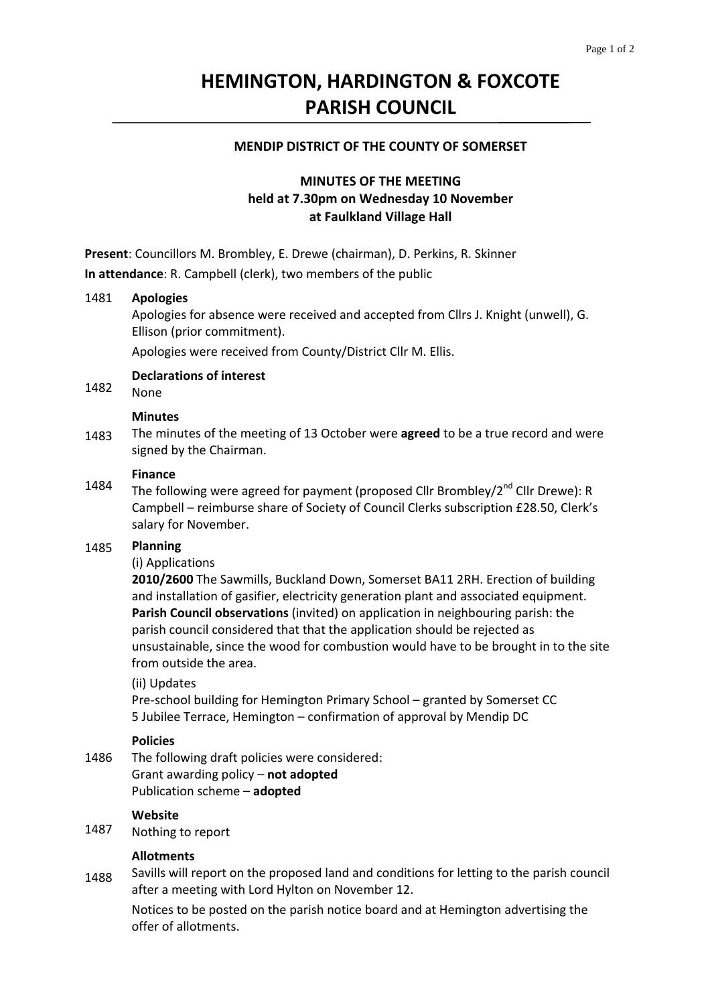# **HEMINGTON, HARDINGTON & FOXCOTE PARISH COUNCIL**

### **MENDIP DISTRICT OF THE COUNTY OF SOMERSET**

# **MINUTES OF THE MEETING held at 7.30pm on Wednesday 10 November at Faulkland Village Hall**

**Present**: Councillors M. Brombley, E. Drewe (chairman), D. Perkins, R. Skinner **In attendance**: R. Campbell (clerk), two members of the public

#### 1481 **Apologies**

Apologies for absence were received and accepted from Cllrs J. Knight (unwell), G. Ellison (prior commitment).

Apologies were received from County/District Cllr M. Ellis.

**Declarations of interest**

#### 1482 None

### **Minutes**

1483 The minutes of the meeting of 13 October were **agreed** to be a true record and were signed by the Chairman.

### **Finance**

1484 The following were agreed for payment (proposed Cllr Brombley/ $2^{nd}$  Cllr Drewe): R Campbell – reimburse share of Society of Council Clerks subscription £28.50, Clerk's salary for November.

#### 1485 **Planning**

### (i) Applications

**2010/2600** The Sawmills, Buckland Down, Somerset BA11 2RH. Erection of building and installation of gasifier, electricity generation plant and associated equipment. **Parish Council observations** (invited) on application in neighbouring parish: the parish council considered that that the application should be rejected as unsustainable, since the wood for combustion would have to be brought in to the site from outside the area.

### (ii) Updates

Pre‐school building for Hemington Primary School – granted by Somerset CC 5 Jubilee Terrace, Hemington – confirmation of approval by Mendip DC

### **Policies**

1486 The following draft policies were considered: Grant awarding policy – **not adopted** Publication scheme – **adopted**

### **Website**

1487 Nothing to report

### **Allotments**

1488 Savills will report on the proposed land and conditions for letting to the parish council after a meeting with Lord Hylton on November 12.

Notices to be posted on the parish notice board and at Hemington advertising the offer of allotments.